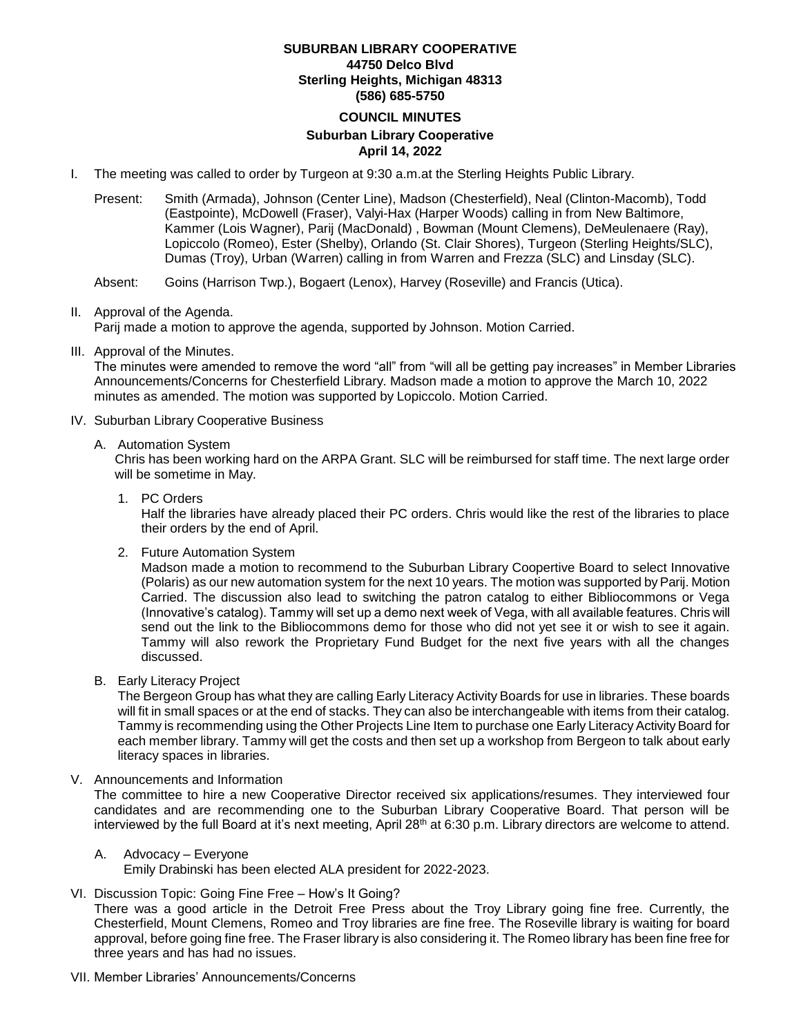#### **SUBURBAN LIBRARY COOPERATIVE 44750 Delco Blvd Sterling Heights, Michigan 48313 (586) 685-5750**

#### **COUNCIL MINUTES**

## **Suburban Library Cooperative April 14, 2022**

- I. The meeting was called to order by Turgeon at 9:30 a.m.at the Sterling Heights Public Library.
	- Present: Smith (Armada), Johnson (Center Line), Madson (Chesterfield), Neal (Clinton-Macomb), Todd (Eastpointe), McDowell (Fraser), Valyi-Hax (Harper Woods) calling in from New Baltimore, Kammer (Lois Wagner), Parij (MacDonald) , Bowman (Mount Clemens), DeMeulenaere (Ray), Lopiccolo (Romeo), Ester (Shelby), Orlando (St. Clair Shores), Turgeon (Sterling Heights/SLC), Dumas (Troy), Urban (Warren) calling in from Warren and Frezza (SLC) and Linsday (SLC).

Absent: Goins (Harrison Twp.), Bogaert (Lenox), Harvey (Roseville) and Francis (Utica).

## II. Approval of the Agenda.

Parij made a motion to approve the agenda, supported by Johnson. Motion Carried.

III. Approval of the Minutes.

The minutes were amended to remove the word "all" from "will all be getting pay increases" in Member Libraries Announcements/Concerns for Chesterfield Library. Madson made a motion to approve the March 10, 2022 minutes as amended. The motion was supported by Lopiccolo. Motion Carried.

#### IV. Suburban Library Cooperative Business

A. Automation System

Chris has been working hard on the ARPA Grant. SLC will be reimbursed for staff time. The next large order will be sometime in May.

#### 1. PC Orders

Half the libraries have already placed their PC orders. Chris would like the rest of the libraries to place their orders by the end of April.

2. Future Automation System

Madson made a motion to recommend to the Suburban Library Coopertive Board to select Innovative (Polaris) as our new automation system for the next 10 years. The motion was supported by Parij. Motion Carried. The discussion also lead to switching the patron catalog to either Bibliocommons or Vega (Innovative's catalog). Tammy will set up a demo next week of Vega, with all available features. Chris will send out the link to the Bibliocommons demo for those who did not yet see it or wish to see it again. Tammy will also rework the Proprietary Fund Budget for the next five years with all the changes discussed.

B. Early Literacy Project

The Bergeon Group has what they are calling Early Literacy Activity Boards for use in libraries. These boards will fit in small spaces or at the end of stacks. They can also be interchangeable with items from their catalog. Tammy is recommending using the Other Projects Line Item to purchase one Early Literacy Activity Board for each member library. Tammy will get the costs and then set up a workshop from Bergeon to talk about early literacy spaces in libraries.

V. Announcements and Information

The committee to hire a new Cooperative Director received six applications/resumes. They interviewed four candidates and are recommending one to the Suburban Library Cooperative Board. That person will be interviewed by the full Board at it's next meeting, April 28<sup>th</sup> at 6:30 p.m. Library directors are welcome to attend.

A. Advocacy – Everyone

Emily Drabinski has been elected ALA president for 2022-2023.

VI. Discussion Topic: Going Fine Free – How's It Going?

There was a good article in the Detroit Free Press about the Troy Library going fine free. Currently, the Chesterfield, Mount Clemens, Romeo and Troy libraries are fine free. The Roseville library is waiting for board approval, before going fine free. The Fraser library is also considering it. The Romeo library has been fine free for three years and has had no issues.

VII. Member Libraries' Announcements/Concerns